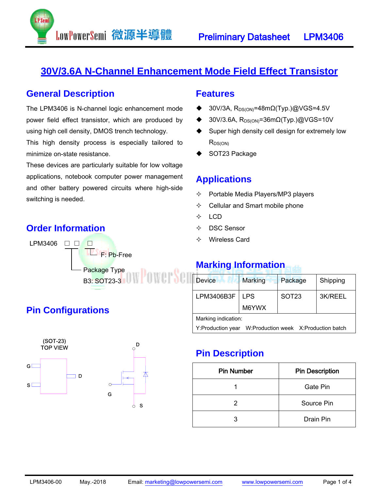

### **30V/3.6A N-Channel Enhancement Mode Field Effect Transistor**

#### **General Description**

The LPM3406 is N-channel logic enhancement mode power field effect transistor, which are produced by using high cell density, DMOS trench technology.

LowPowerSemi 微源半導體

This high density process is especially tailored to minimize on-state resistance.

These devices are particularly suitable for low voltage applications, notebook computer power management and other battery powered circuits where high-side switching is needed.

#### **Order Information**



#### **Features**

- 30V/3A,  $R_{DS(ON)}=48m\Omega(Typ.)@VGS=4.5V$
- 30V/3.6A, R<sub>DS(ON)</sub>=36mΩ(Typ.)@VGS=10V
- ◆ Super high density cell design for extremely low  $R_{DS(ON)}$
- SOT23 Package

#### **Applications**

- $\Diamond$  Portable Media Players/MP3 players
- $\Leftrightarrow$  Cellular and Smart mobile phone
- $\div$  LCD
- DSC Sensor
- Wireless Card

#### **Marking Information**

| <b>Device</b>                                             | <b>Marking</b>      | Package      | Shipping |  |  |  |
|-----------------------------------------------------------|---------------------|--------------|----------|--|--|--|
| LPM3406B3F                                                | <b>LPS</b><br>M6YWX | <b>SOT23</b> | 3K/REEL  |  |  |  |
|                                                           |                     |              |          |  |  |  |
| Marking indication:                                       |                     |              |          |  |  |  |
| W:Production week X:Production batch<br>Y:Production year |                     |              |          |  |  |  |

### **Pin Description**

| <b>Pin Number</b> | <b>Pin Description</b> |  |  |
|-------------------|------------------------|--|--|
|                   | Gate Pin               |  |  |
| 2                 | Source Pin             |  |  |
| 3                 | Drain Pin              |  |  |

### **Pin Configurations**

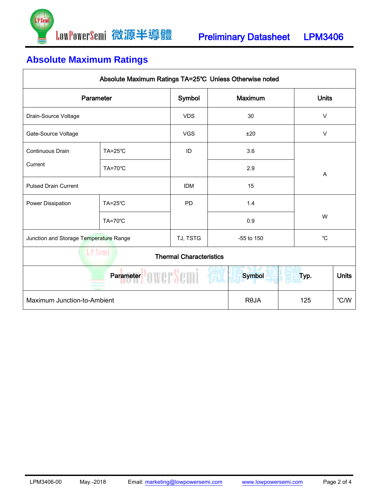

# **Absolute Maximum Ratings**

| Absolute Maximum Ratings TA=25°C Unless Otherwise noted |                    |            |             |                           |  |              |              |  |
|---------------------------------------------------------|--------------------|------------|-------------|---------------------------|--|--------------|--------------|--|
| Parameter                                               |                    | Symbol     |             | Maximum                   |  | <b>Units</b> |              |  |
| Drain-Source Voltage                                    |                    | <b>VDS</b> |             | 30                        |  | $\vee$       |              |  |
| Gate-Source Voltage                                     |                    | <b>VGS</b> |             | ±20                       |  | $\vee$       |              |  |
| <b>Continuous Drain</b>                                 | $TA=25^{\circ}C$   | ID         |             | 3.6                       |  |              |              |  |
| Current                                                 | TA=70°C            |            |             | 2.9                       |  | A            |              |  |
| <b>Pulsed Drain Current</b>                             |                    | <b>IDM</b> |             | 15                        |  |              |              |  |
| Power Dissipation                                       | $TA = 25^{\circ}C$ | <b>PD</b>  |             | 1.4<br>0.9                |  | W            |              |  |
|                                                         | <b>TA=70°C</b>     |            |             |                           |  |              |              |  |
| Junction and Storage Temperature Range                  |                    | TJ, TSTG   |             | $^{\circ}C$<br>-55 to 150 |  |              |              |  |
| LP Semi<br><b>Thermal Characteristics</b>               |                    |            |             |                           |  |              |              |  |
| Parameter <b>Designation</b>                            |                    |            |             | <b>Symbol</b>             |  | Typ.         | <b>Units</b> |  |
| Maximum Junction-to-Ambient                             |                    |            | <b>ROJA</b> | 125                       |  | °C/W         |              |  |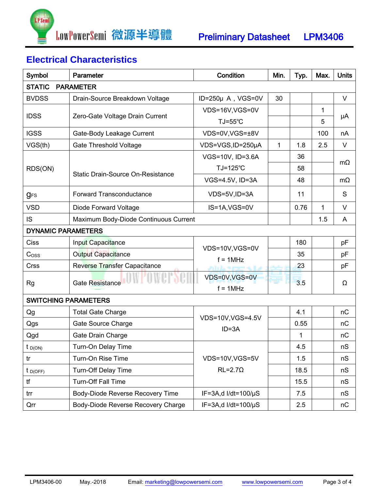

# **Electrical Characteristics**

| Symbol                            | Parameter                                                                                                                                                                                                                                                                                                                                                                                                                                                                                                                                                                                                                                                                                                                                                                                                                                                                                                                                                                                                                                                                                      | Condition                        | Min. | Typ. | Max. | <b>Units</b> |  |  |
|-----------------------------------|------------------------------------------------------------------------------------------------------------------------------------------------------------------------------------------------------------------------------------------------------------------------------------------------------------------------------------------------------------------------------------------------------------------------------------------------------------------------------------------------------------------------------------------------------------------------------------------------------------------------------------------------------------------------------------------------------------------------------------------------------------------------------------------------------------------------------------------------------------------------------------------------------------------------------------------------------------------------------------------------------------------------------------------------------------------------------------------------|----------------------------------|------|------|------|--------------|--|--|
| <b>STATIC</b><br><b>PARAMETER</b> |                                                                                                                                                                                                                                                                                                                                                                                                                                                                                                                                                                                                                                                                                                                                                                                                                                                                                                                                                                                                                                                                                                |                                  |      |      |      |              |  |  |
| <b>BVDSS</b>                      | Drain-Source Breakdown Voltage                                                                                                                                                                                                                                                                                                                                                                                                                                                                                                                                                                                                                                                                                                                                                                                                                                                                                                                                                                                                                                                                 |                                  | 30   |      |      | $\vee$       |  |  |
| <b>IDSS</b>                       | ID=250µ A, VGS=0V<br>VDS=16V,VGS=0V<br>Zero-Gate Voltage Drain Current<br>TJ=55°C<br>VDS=0V,VGS=±8V<br>Gate-Body Leakage Current<br><b>Gate Threshold Voltage</b><br>VDS=VGS, ID=250µA<br>$\mathbf{1}$<br>1.8<br>VGS=10V, ID=3.6A<br>36<br>TJ=125°C<br>58<br><b>Static Drain-Source On-Resistance</b><br>VGS=4.5V, ID=3A<br>48<br><b>Forward Transconductance</b><br>VDS=5V,ID=3A<br>11<br>IS=1A, VGS=0V<br>0.76<br>Diode Forward Voltage<br>Maximum Body-Diode Continuous Current<br>Input Capacitance<br>180<br>VDS=10V,VGS=0V<br>35<br><b>Output Capacitance</b><br>$f = 1MHz$<br>23<br>Reverse Transfer Capacitance<br>VDS=0V,VGS=0V<br>Gate Resistance<br>3.5<br>$f = 1MHz$<br><b>SWITCHING PARAMETERS</b><br>4.1<br><b>Total Gate Charge</b><br>VDS=10V, VGS=4.5V<br>0.55<br>Gate Source Charge<br>$ID = 3A$<br>1<br>Gate Drain Charge<br>Turn-On Delay Time<br>4.5<br>Turn-On Rise Time<br>VDS=10V,VGS=5V<br>1.5<br>$RL = 2.7\Omega$<br><b>Turn-Off Delay Time</b><br>18.5<br><b>Turn-Off Fall Time</b><br>15.5<br>Body-Diode Reverse Recovery Time<br>IF=3A,d I/dt= $100/\mu$ S<br>7.5 |                                  |      |      | 1    |              |  |  |
|                                   |                                                                                                                                                                                                                                                                                                                                                                                                                                                                                                                                                                                                                                                                                                                                                                                                                                                                                                                                                                                                                                                                                                |                                  | 5    | μA   |      |              |  |  |
| <b>IGSS</b>                       |                                                                                                                                                                                                                                                                                                                                                                                                                                                                                                                                                                                                                                                                                                                                                                                                                                                                                                                                                                                                                                                                                                |                                  |      |      | 100  | nA           |  |  |
| VGS(th)                           |                                                                                                                                                                                                                                                                                                                                                                                                                                                                                                                                                                                                                                                                                                                                                                                                                                                                                                                                                                                                                                                                                                |                                  |      |      | 2.5  | $\vee$       |  |  |
| RDS(ON)                           |                                                                                                                                                                                                                                                                                                                                                                                                                                                                                                                                                                                                                                                                                                                                                                                                                                                                                                                                                                                                                                                                                                |                                  |      |      |      | $m\Omega$    |  |  |
|                                   |                                                                                                                                                                                                                                                                                                                                                                                                                                                                                                                                                                                                                                                                                                                                                                                                                                                                                                                                                                                                                                                                                                |                                  |      |      |      |              |  |  |
|                                   |                                                                                                                                                                                                                                                                                                                                                                                                                                                                                                                                                                                                                                                                                                                                                                                                                                                                                                                                                                                                                                                                                                |                                  |      |      |      | $m\Omega$    |  |  |
| <b>gFS</b>                        |                                                                                                                                                                                                                                                                                                                                                                                                                                                                                                                                                                                                                                                                                                                                                                                                                                                                                                                                                                                                                                                                                                |                                  |      |      |      | S            |  |  |
| <b>VSD</b>                        |                                                                                                                                                                                                                                                                                                                                                                                                                                                                                                                                                                                                                                                                                                                                                                                                                                                                                                                                                                                                                                                                                                |                                  |      |      | 1    | $\vee$       |  |  |
| <b>IS</b>                         |                                                                                                                                                                                                                                                                                                                                                                                                                                                                                                                                                                                                                                                                                                                                                                                                                                                                                                                                                                                                                                                                                                |                                  |      | 1.5  | A    |              |  |  |
| <b>DYNAMIC PARAMETERS</b>         |                                                                                                                                                                                                                                                                                                                                                                                                                                                                                                                                                                                                                                                                                                                                                                                                                                                                                                                                                                                                                                                                                                |                                  |      |      |      |              |  |  |
| Ciss                              |                                                                                                                                                                                                                                                                                                                                                                                                                                                                                                                                                                                                                                                                                                                                                                                                                                                                                                                                                                                                                                                                                                |                                  |      |      |      | pF           |  |  |
| C <sub>oss</sub>                  |                                                                                                                                                                                                                                                                                                                                                                                                                                                                                                                                                                                                                                                                                                                                                                                                                                                                                                                                                                                                                                                                                                |                                  |      |      |      | pF           |  |  |
| Crss                              |                                                                                                                                                                                                                                                                                                                                                                                                                                                                                                                                                                                                                                                                                                                                                                                                                                                                                                                                                                                                                                                                                                |                                  |      |      |      | pF           |  |  |
| <b>Rg</b>                         |                                                                                                                                                                                                                                                                                                                                                                                                                                                                                                                                                                                                                                                                                                                                                                                                                                                                                                                                                                                                                                                                                                |                                  |      |      |      | Ω            |  |  |
|                                   |                                                                                                                                                                                                                                                                                                                                                                                                                                                                                                                                                                                                                                                                                                                                                                                                                                                                                                                                                                                                                                                                                                |                                  |      |      |      |              |  |  |
| Qg                                |                                                                                                                                                                                                                                                                                                                                                                                                                                                                                                                                                                                                                                                                                                                                                                                                                                                                                                                                                                                                                                                                                                |                                  |      |      |      | nC           |  |  |
| Qgs                               |                                                                                                                                                                                                                                                                                                                                                                                                                                                                                                                                                                                                                                                                                                                                                                                                                                                                                                                                                                                                                                                                                                |                                  |      |      |      | nC           |  |  |
| Qgd                               |                                                                                                                                                                                                                                                                                                                                                                                                                                                                                                                                                                                                                                                                                                                                                                                                                                                                                                                                                                                                                                                                                                |                                  |      |      |      | nC           |  |  |
| $t_{D(ON)}$                       |                                                                                                                                                                                                                                                                                                                                                                                                                                                                                                                                                                                                                                                                                                                                                                                                                                                                                                                                                                                                                                                                                                |                                  |      |      |      | nS           |  |  |
| tr                                |                                                                                                                                                                                                                                                                                                                                                                                                                                                                                                                                                                                                                                                                                                                                                                                                                                                                                                                                                                                                                                                                                                |                                  |      |      |      | nS           |  |  |
| $t_{D(OFF)}$                      |                                                                                                                                                                                                                                                                                                                                                                                                                                                                                                                                                                                                                                                                                                                                                                                                                                                                                                                                                                                                                                                                                                |                                  |      |      |      | nS           |  |  |
| tf                                |                                                                                                                                                                                                                                                                                                                                                                                                                                                                                                                                                                                                                                                                                                                                                                                                                                                                                                                                                                                                                                                                                                |                                  |      |      |      | nS           |  |  |
| trr                               |                                                                                                                                                                                                                                                                                                                                                                                                                                                                                                                                                                                                                                                                                                                                                                                                                                                                                                                                                                                                                                                                                                |                                  |      |      |      | nS           |  |  |
| Qrr                               | Body-Diode Reverse Recovery Charge                                                                                                                                                                                                                                                                                                                                                                                                                                                                                                                                                                                                                                                                                                                                                                                                                                                                                                                                                                                                                                                             | $IF = 3A$ , d $I/dt = 100/\mu S$ |      | 2.5  |      | nC           |  |  |